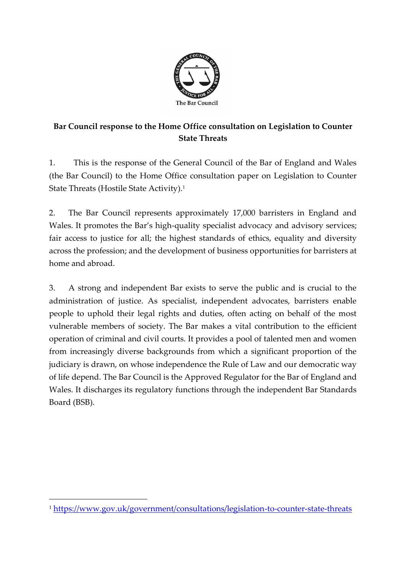

# **Bar Council response to the Home Office consultation on Legislation to Counter State Threats**

1. This is the response of the General Council of the Bar of England and Wales (the Bar Council) to the Home Office consultation paper on Legislation to Counter State Threats (Hostile State Activity). 1

2. The Bar Council represents approximately 17,000 barristers in England and Wales. It promotes the Bar's high-quality specialist advocacy and advisory services; fair access to justice for all; the highest standards of ethics, equality and diversity across the profession; and the development of business opportunities for barristers at home and abroad.

3. A strong and independent Bar exists to serve the public and is crucial to the administration of justice. As specialist, independent advocates, barristers enable people to uphold their legal rights and duties, often acting on behalf of the most vulnerable members of society. The Bar makes a vital contribution to the efficient operation of criminal and civil courts. It provides a pool of talented men and women from increasingly diverse backgrounds from which a significant proportion of the judiciary is drawn, on whose independence the Rule of Law and our democratic way of life depend. The Bar Council is the Approved Regulator for the Bar of England and Wales. It discharges its regulatory functions through the independent Bar Standards Board (BSB).

<sup>1</sup> <https://www.gov.uk/government/consultations/legislation-to-counter-state-threats>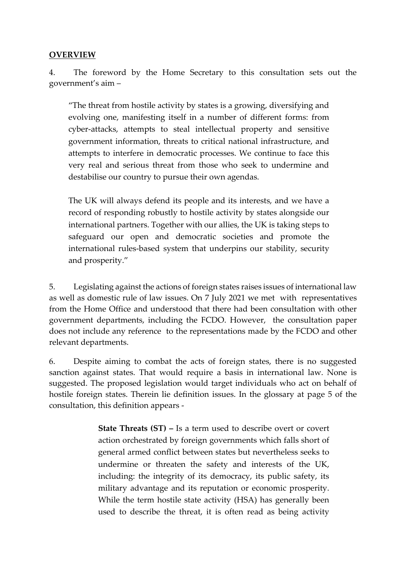#### **OVERVIEW**

4. The foreword by the Home Secretary to this consultation sets out the government's aim –

"The threat from hostile activity by states is a growing, diversifying and evolving one, manifesting itself in a number of different forms: from cyber-attacks, attempts to steal intellectual property and sensitive government information, threats to critical national infrastructure, and attempts to interfere in democratic processes. We continue to face this very real and serious threat from those who seek to undermine and destabilise our country to pursue their own agendas.

The UK will always defend its people and its interests, and we have a record of responding robustly to hostile activity by states alongside our international partners. Together with our allies, the UK is taking steps to safeguard our open and democratic societies and promote the international rules-based system that underpins our stability, security and prosperity."

5. Legislating against the actions of foreign states raises issues of international law as well as domestic rule of law issues. On 7 July 2021 we met with representatives from the Home Office and understood that there had been consultation with other government departments, including the FCDO. However, the consultation paper does not include any reference to the representations made by the FCDO and other relevant departments.

6. Despite aiming to combat the acts of foreign states, there is no suggested sanction against states. That would require a basis in international law. None is suggested. The proposed legislation would target individuals who act on behalf of hostile foreign states. Therein lie definition issues. In the glossary at page 5 of the consultation, this definition appears -

> **State Threats (ST) –** Is a term used to describe overt or covert action orchestrated by foreign governments which falls short of general armed conflict between states but nevertheless seeks to undermine or threaten the safety and interests of the UK, including: the integrity of its democracy, its public safety, its military advantage and its reputation or economic prosperity. While the term hostile state activity (HSA) has generally been used to describe the threat, it is often read as being activity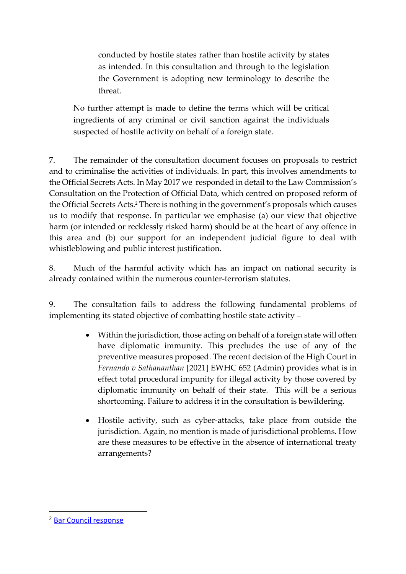conducted by hostile states rather than hostile activity by states as intended. In this consultation and through to the legislation the Government is adopting new terminology to describe the threat.

No further attempt is made to define the terms which will be critical ingredients of any criminal or civil sanction against the individuals suspected of hostile activity on behalf of a foreign state.

7. The remainder of the consultation document focuses on proposals to restrict and to criminalise the activities of individuals. In part, this involves amendments to the Official Secrets Acts. In May 2017 we responded in detail to the Law Commission's Consultation on the Protection of Official Data, which centred on proposed reform of the Official Secrets Acts. <sup>2</sup> There is nothing in the government's proposals which causes us to modify that response. In particular we emphasise (a) our view that objective harm (or intended or recklessly risked harm) should be at the heart of any offence in this area and (b) our support for an independent judicial figure to deal with whistleblowing and public interest justification.

8. Much of the harmful activity which has an impact on national security is already contained within the numerous counter-terrorism statutes.

9. The consultation fails to address the following fundamental problems of implementing its stated objective of combatting hostile state activity –

- Within the jurisdiction, those acting on behalf of a foreign state will often have diplomatic immunity. This precludes the use of any of the preventive measures proposed. The recent decision of the High Court in *Fernando v Sathananthan* [2021] EWHC 652 (Admin) provides what is in effect total procedural impunity for illegal activity by those covered by diplomatic immunity on behalf of their state. This will be a serious shortcoming. Failure to address it in the consultation is bewildering.
- Hostile activity, such as cyber-attacks, take place from outside the jurisdiction. Again, no mention is made of jurisdictional problems. How are these measures to be effective in the absence of international treaty arrangements?

<sup>2</sup> [Bar Council response](https://www.barcouncil.org.uk/uploads/assets/e5640be9-d93b-491c-bb27711b4a03efe7/barcouncilandcriminalbarassociationresponsetothelawcommission.pdf)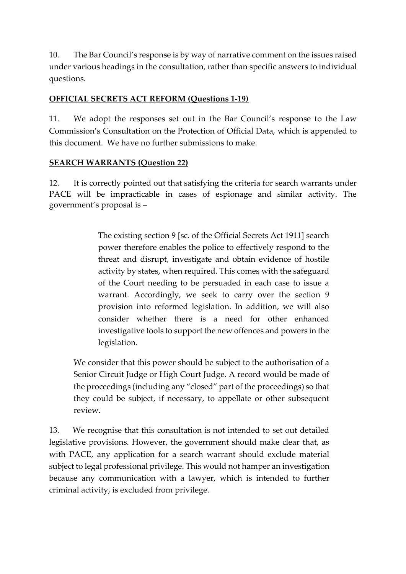10. The Bar Council's response is by way of narrative comment on the issues raised under various headings in the consultation, rather than specific answers to individual questions.

#### **OFFICIAL SECRETS ACT REFORM (Questions 1-19)**

11. We adopt the responses set out in the Bar Council's response to the Law Commission's Consultation on the Protection of Official Data, which is appended to this document. We have no further submissions to make.

#### **SEARCH WARRANTS (Question 22)**

12. It is correctly pointed out that satisfying the criteria for search warrants under PACE will be impracticable in cases of espionage and similar activity. The government's proposal is –

> The existing section 9 [sc. of the Official Secrets Act 1911] search power therefore enables the police to effectively respond to the threat and disrupt, investigate and obtain evidence of hostile activity by states, when required. This comes with the safeguard of the Court needing to be persuaded in each case to issue a warrant. Accordingly, we seek to carry over the section 9 provision into reformed legislation. In addition, we will also consider whether there is a need for other enhanced investigative tools to support the new offences and powers in the legislation.

We consider that this power should be subject to the authorisation of a Senior Circuit Judge or High Court Judge. A record would be made of the proceedings (including any "closed" part of the proceedings) so that they could be subject, if necessary, to appellate or other subsequent review.

13. We recognise that this consultation is not intended to set out detailed legislative provisions. However, the government should make clear that, as with PACE, any application for a search warrant should exclude material subject to legal professional privilege. This would not hamper an investigation because any communication with a lawyer, which is intended to further criminal activity, is excluded from privilege.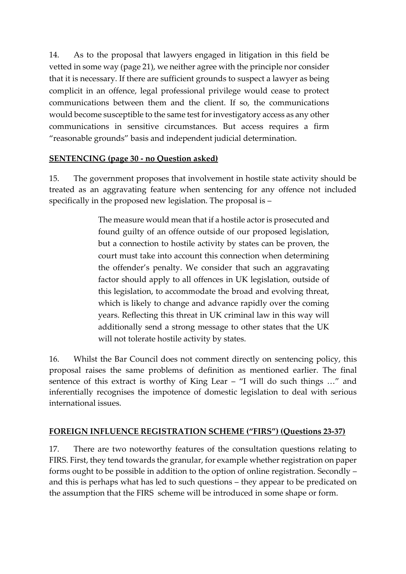14. As to the proposal that lawyers engaged in litigation in this field be vetted in some way (page 21), we neither agree with the principle nor consider that it is necessary. If there are sufficient grounds to suspect a lawyer as being complicit in an offence, legal professional privilege would cease to protect communications between them and the client. If so, the communications would become susceptible to the same test for investigatory access as any other communications in sensitive circumstances. But access requires a firm "reasonable grounds" basis and independent judicial determination.

#### **SENTENCING (page 30 - no Question asked)**

15. The government proposes that involvement in hostile state activity should be treated as an aggravating feature when sentencing for any offence not included specifically in the proposed new legislation. The proposal is –

> The measure would mean that if a hostile actor is prosecuted and found guilty of an offence outside of our proposed legislation, but a connection to hostile activity by states can be proven, the court must take into account this connection when determining the offender's penalty. We consider that such an aggravating factor should apply to all offences in UK legislation, outside of this legislation, to accommodate the broad and evolving threat, which is likely to change and advance rapidly over the coming years. Reflecting this threat in UK criminal law in this way will additionally send a strong message to other states that the UK will not tolerate hostile activity by states.

16. Whilst the Bar Council does not comment directly on sentencing policy, this proposal raises the same problems of definition as mentioned earlier. The final sentence of this extract is worthy of King Lear – "I will do such things …" and inferentially recognises the impotence of domestic legislation to deal with serious international issues.

#### **FOREIGN INFLUENCE REGISTRATION SCHEME ("FIRS") (Questions 23-37)**

17. There are two noteworthy features of the consultation questions relating to FIRS. First, they tend towards the granular, for example whether registration on paper forms ought to be possible in addition to the option of online registration. Secondly – and this is perhaps what has led to such questions – they appear to be predicated on the assumption that the FIRS scheme will be introduced in some shape or form.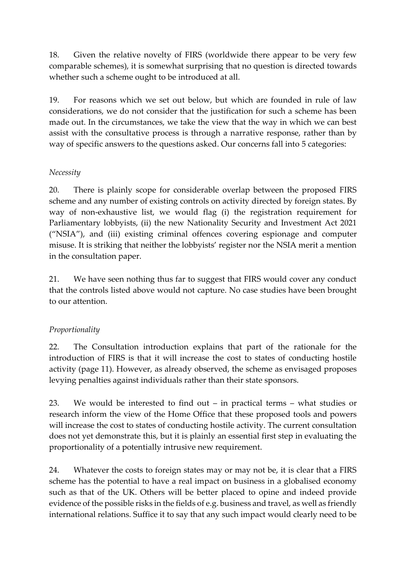18. Given the relative novelty of FIRS (worldwide there appear to be very few comparable schemes), it is somewhat surprising that no question is directed towards whether such a scheme ought to be introduced at all.

19. For reasons which we set out below, but which are founded in rule of law considerations, we do not consider that the justification for such a scheme has been made out. In the circumstances, we take the view that the way in which we can best assist with the consultative process is through a narrative response, rather than by way of specific answers to the questions asked. Our concerns fall into 5 categories:

#### *Necessity*

20. There is plainly scope for considerable overlap between the proposed FIRS scheme and any number of existing controls on activity directed by foreign states. By way of non-exhaustive list, we would flag (i) the registration requirement for Parliamentary lobbyists, (ii) the new Nationality Security and Investment Act 2021 ("NSIA"), and (iii) existing criminal offences covering espionage and computer misuse. It is striking that neither the lobbyists' register nor the NSIA merit a mention in the consultation paper.

21. We have seen nothing thus far to suggest that FIRS would cover any conduct that the controls listed above would not capture. No case studies have been brought to our attention.

#### *Proportionality*

22. The Consultation introduction explains that part of the rationale for the introduction of FIRS is that it will increase the cost to states of conducting hostile activity (page 11). However, as already observed, the scheme as envisaged proposes levying penalties against individuals rather than their state sponsors.

23. We would be interested to find out – in practical terms – what studies or research inform the view of the Home Office that these proposed tools and powers will increase the cost to states of conducting hostile activity. The current consultation does not yet demonstrate this, but it is plainly an essential first step in evaluating the proportionality of a potentially intrusive new requirement.

24. Whatever the costs to foreign states may or may not be, it is clear that a FIRS scheme has the potential to have a real impact on business in a globalised economy such as that of the UK. Others will be better placed to opine and indeed provide evidence of the possible risks in the fields of e.g. business and travel, as well as friendly international relations. Suffice it to say that any such impact would clearly need to be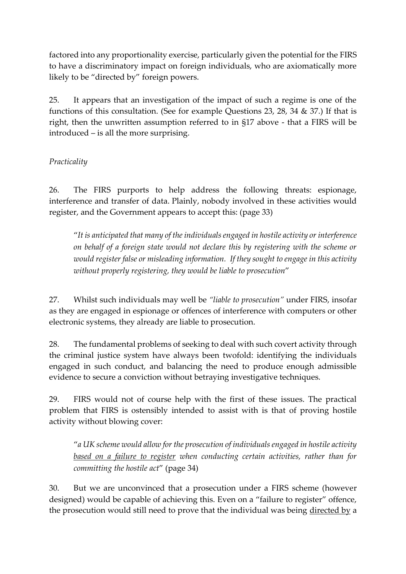factored into any proportionality exercise, particularly given the potential for the FIRS to have a discriminatory impact on foreign individuals, who are axiomatically more likely to be "directed by" foreign powers.

25. It appears that an investigation of the impact of such a regime is one of the functions of this consultation. (See for example Questions 23, 28, 34 & 37.) If that is right, then the unwritten assumption referred to in §17 above - that a FIRS will be introduced – is all the more surprising.

#### *Practicality*

26. The FIRS purports to help address the following threats: espionage, interference and transfer of data. Plainly, nobody involved in these activities would register, and the Government appears to accept this: (page 33)

"*It is anticipated that many of the individuals engaged in hostile activity or interference on behalf of a foreign state would not declare this by registering with the scheme or would register false or misleading information. If they sought to engage in this activity without properly registering, they would be liable to prosecution*"

27. Whilst such individuals may well be *"liable to prosecution"* under FIRS, insofar as they are engaged in espionage or offences of interference with computers or other electronic systems, they already are liable to prosecution.

28. The fundamental problems of seeking to deal with such covert activity through the criminal justice system have always been twofold: identifying the individuals engaged in such conduct, and balancing the need to produce enough admissible evidence to secure a conviction without betraying investigative techniques.

29. FIRS would not of course help with the first of these issues. The practical problem that FIRS is ostensibly intended to assist with is that of proving hostile activity without blowing cover:

"*a UK scheme would allow for the prosecution of individuals engaged in hostile activity based on a failure to register when conducting certain activities, rather than for committing the hostile act*" (page 34)

30. But we are unconvinced that a prosecution under a FIRS scheme (however designed) would be capable of achieving this. Even on a "failure to register" offence, the prosecution would still need to prove that the individual was being directed by a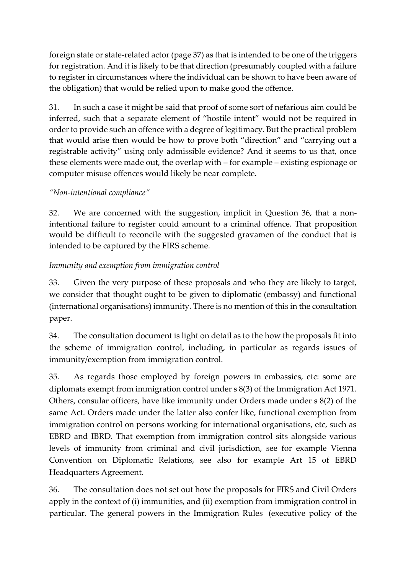foreign state or state-related actor (page 37) as that is intended to be one of the triggers for registration. And it is likely to be that direction (presumably coupled with a failure to register in circumstances where the individual can be shown to have been aware of the obligation) that would be relied upon to make good the offence.

31. In such a case it might be said that proof of some sort of nefarious aim could be inferred, such that a separate element of "hostile intent" would not be required in order to provide such an offence with a degree of legitimacy. But the practical problem that would arise then would be how to prove both "direction" and "carrying out a registrable activity" using only admissible evidence? And it seems to us that, once these elements were made out, the overlap with – for example – existing espionage or computer misuse offences would likely be near complete.

## *"Non-intentional compliance"*

32. We are concerned with the suggestion, implicit in Question 36, that a nonintentional failure to register could amount to a criminal offence. That proposition would be difficult to reconcile with the suggested gravamen of the conduct that is intended to be captured by the FIRS scheme.

## *Immunity and exemption from immigration control*

33. Given the very purpose of these proposals and who they are likely to target, we consider that thought ought to be given to diplomatic (embassy) and functional (international organisations) immunity. There is no mention of this in the consultation paper.

34. The consultation document is light on detail as to the how the proposals fit into the scheme of immigration control, including, in particular as regards issues of immunity/exemption from immigration control.

35. As regards those employed by foreign powers in embassies, etc: some are diplomats exempt from immigration control under s 8(3) of the Immigration Act 1971. Others, consular officers, have like immunity under Orders made under s 8(2) of the same Act. Orders made under the latter also confer like, functional exemption from immigration control on persons working for international organisations, etc, such as EBRD and IBRD. That exemption from immigration control sits alongside various levels of immunity from criminal and civil jurisdiction, see for example Vienna Convention on Diplomatic Relations, see also for example Art 15 of EBRD Headquarters Agreement.

36. The consultation does not set out how the proposals for FIRS and Civil Orders apply in the context of (i) immunities, and (ii) exemption from immigration control in particular. The general powers in the Immigration Rules (executive policy of the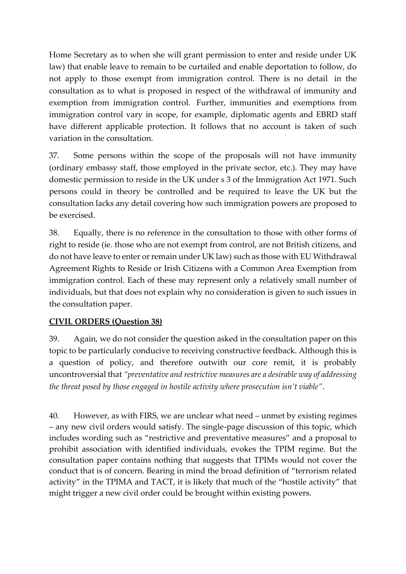Home Secretary as to when she will grant permission to enter and reside under UK law) that enable leave to remain to be curtailed and enable deportation to follow, do not apply to those exempt from immigration control. There is no detail in the consultation as to what is proposed in respect of the withdrawal of immunity and exemption from immigration control. Further, immunities and exemptions from immigration control vary in scope, for example, diplomatic agents and EBRD staff have different applicable protection. It follows that no account is taken of such variation in the consultation.

37. Some persons within the scope of the proposals will not have immunity (ordinary embassy staff, those employed in the private sector, etc.). They may have domestic permission to reside in the UK under s 3 of the Immigration Act 1971. Such persons could in theory be controlled and be required to leave the UK but the consultation lacks any detail covering how such immigration powers are proposed to be exercised.

38. Equally, there is no reference in the consultation to those with other forms of right to reside (ie. those who are not exempt from control, are not British citizens, and do not have leave to enter or remain under UK law) such as those with EU Withdrawal Agreement Rights to Reside or Irish Citizens with a Common Area Exemption from immigration control. Each of these may represent only a relatively small number of individuals, but that does not explain why no consideration is given to such issues in the consultation paper.

#### **CIVIL ORDERS (Question 38)**

39. Again, we do not consider the question asked in the consultation paper on this topic to be particularly conducive to receiving constructive feedback. Although this is a question of policy, and therefore outwith our core remit, it is probably uncontroversial that *"preventative and restrictive measures are a desirable way of addressing the threat posed by those engaged in hostile activity where prosecution isn't viable"*.

40. However, as with FIRS, we are unclear what need – unmet by existing regimes – any new civil orders would satisfy. The single-page discussion of this topic, which includes wording such as "restrictive and preventative measures" and a proposal to prohibit association with identified individuals, evokes the TPIM regime. But the consultation paper contains nothing that suggests that TPIMs would not cover the conduct that is of concern. Bearing in mind the broad definition of "terrorism related activity" in the TPIMA and TACT, it is likely that much of the "hostile activity" that might trigger a new civil order could be brought within existing powers.